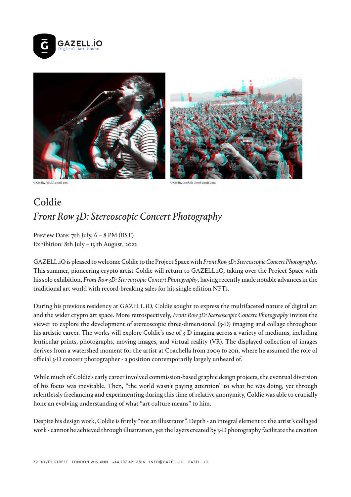



© Coldie, *FOALS*, detail, 2011.

© Coldie, *Coachella Crowd*, detail, 2010.

## Coldie *Front Row 3D: Stereoscopic Concert Photography*

Preview Date: 7th July, 6 – 8 PM (BST) Exhibition: 8th July – 13 th August, 2022

GAZELL.iO is pleased to welcome Coldie to the Project Space with *Front Row 3D: Stereoscopic Concert Photography*. This summer, pioneering crypto artist Coldie will return to GAZELL.iO, taking over the Project Space with his solo exhibition, *Front Row 3D: Stereoscopic Concert Photography*, having recently made notable advances in the traditional art world with record-breaking sales for his single edition NFTs.

During his previous residency at GAZELL.iO, Coldie sought to express the multifaceted nature of digital art and the wider crypto art space. More retrospectively, *Front Row 3D: Stereoscopic Concert Photography* invites the viewer to explore the development of stereoscopic three-dimensional (3-D) imaging and collage throughout his artistic career. The works will explore Coldie's use of 3-D imaging across a variety of mediums, including lenticular prints, photographs, moving images, and virtual reality (VR). The displayed collection of images derives from a watershed moment for the artist at Coachella from 2009 to 2011, where he assumed the role of official 3-D concert photographer - a position contemporarily largely unheard of.

While much of Coldie's early career involved commission-based graphic design projects, the eventual diversion of his focus was inevitable. Then, "the world wasn't paying attention" to what he was doing, yet through relentlessly freelancing and experimenting during this time of relative anonymity, Coldie was able to crucially hone an evolving understanding of what "art culture means" to him.

Despite his design work, Coldie is firmly "not an illustrator". Depth - an integral element to the artist's collaged work - cannot be achieved through illustration, yet the layers created by 3-D photography facilitate the creation